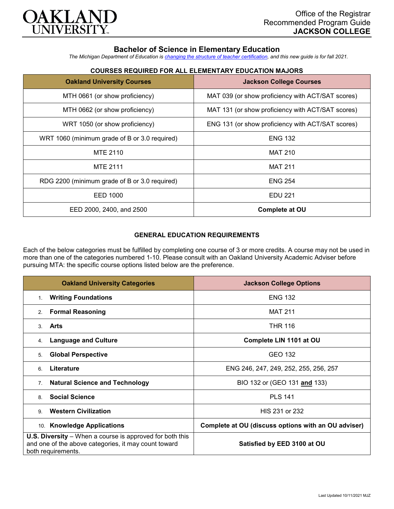

# **Bachelor of Science in Elementary Education**

*The Michigan Department of Education is [changing the structure of teacher certification,](https://docs.google.com/document/d/1W1uUK14Njx6WAB56T4jHbat65OZyg6TS04LdNWMXEcI/edit) and this new guide is for fall 2021.*

| <b>Oakland University Courses</b>             | <b>Jackson College Courses</b>                    |
|-----------------------------------------------|---------------------------------------------------|
| MTH 0661 (or show proficiency)                | MAT 039 (or show proficiency with ACT/SAT scores) |
| MTH 0662 (or show proficiency)                | MAT 131 (or show proficiency with ACT/SAT scores) |
| WRT 1050 (or show proficiency)                | ENG 131 (or show proficiency with ACT/SAT scores) |
| WRT 1060 (minimum grade of B or 3.0 required) | <b>ENG 132</b>                                    |
| MTE 2110                                      | <b>MAT 210</b>                                    |
| <b>MTE 2111</b>                               | <b>MAT 211</b>                                    |
| RDG 2200 (minimum grade of B or 3.0 required) | <b>ENG 254</b>                                    |
| EED 1000                                      | <b>EDU 221</b>                                    |
| EED 2000, 2400, and 2500                      | <b>Complete at OU</b>                             |

# **COURSES REQUIRED FOR ALL ELEMENTARY EDUCATION MAJORS**

### **GENERAL EDUCATION REQUIREMENTS**

Each of the below categories must be fulfilled by completing one course of 3 or more credits. A course may not be used in more than one of the categories numbered 1-10. Please consult with an Oakland University Academic Adviser before pursuing MTA: the specific course options listed below are the preference.

| <b>Oakland University Categories</b>                                                                                                          | <b>Jackson College Options</b>                      |
|-----------------------------------------------------------------------------------------------------------------------------------------------|-----------------------------------------------------|
| <b>Writing Foundations</b><br>1.                                                                                                              | <b>ENG 132</b>                                      |
| <b>Formal Reasoning</b><br>2.                                                                                                                 | <b>MAT 211</b>                                      |
| Arts<br>3.                                                                                                                                    | <b>THR 116</b>                                      |
| <b>Language and Culture</b><br>4.                                                                                                             | Complete LIN 1101 at OU                             |
| <b>Global Perspective</b><br>5.                                                                                                               | GEO 132                                             |
| Literature<br>6.                                                                                                                              | ENG 246, 247, 249, 252, 255, 256, 257               |
| <b>Natural Science and Technology</b><br>7.                                                                                                   | BIO 132 or (GEO 131 and 133)                        |
| <b>Social Science</b><br>8                                                                                                                    | <b>PLS 141</b>                                      |
| <b>Western Civilization</b><br>9                                                                                                              | HIS 231 or 232                                      |
| 10. Knowledge Applications                                                                                                                    | Complete at OU (discuss options with an OU adviser) |
| <b>U.S. Diversity</b> – When a course is approved for both this<br>and one of the above categories, it may count toward<br>both requirements. | Satisfied by EED 3100 at OU                         |